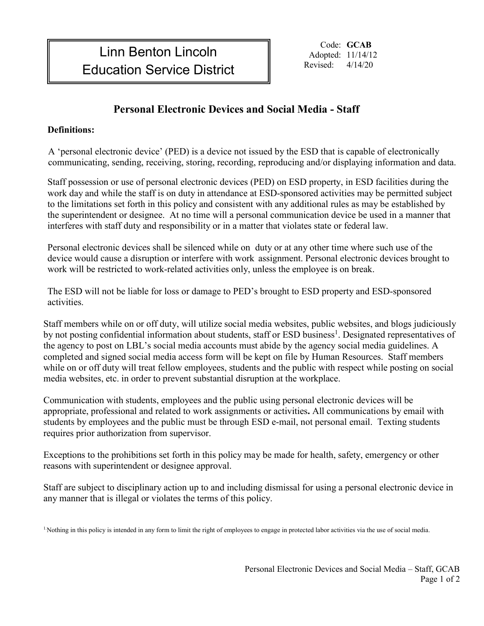Code: **GCAB** Adopted: 11/14/12

## **Personal Electronic Devices and Social Media - Staff**

## **Definitions:**

 A 'personal electronic device' (PED) is a device not issued by the ESD that is capable of electronically communicating, sending, receiving, storing, recording, reproducing and/or displaying information and data.

Staff possession or use of personal electronic devices (PED) on ESD property, in ESD facilities during the work day and while the staff is on duty in attendance at ESD-sponsored activities may be permitted subject to the limitations set forth in this policy and consistent with any additional rules as may be established by the superintendent or designee. At no time will a personal communication device be used in a manner that interferes with staff duty and responsibility or in a matter that violates state or federal law.

Personal electronic devices shall be silenced while on duty or at any other time where such use of the device would cause a disruption or interfere with work assignment. Personal electronic devices brought to work will be restricted to work-related activities only, unless the employee is on break.

The ESD will not be liable for loss or damage to PED's brought to ESD property and ESD-sponsored activities.

Staff members while on or off duty, will utilize social media websites, public websites, and blogs judiciously by not posting confidential information about students, staff or ESD business<sup>1</sup>. Designated representatives of the agency to post on LBL's social media accounts must abide by the agency social media guidelines. A completed and signed social media access form will be kept on file by Human Resources. Staff members while on or off duty will treat fellow employees, students and the public with respect while posting on social media websites, etc. in order to prevent substantial disruption at the workplace.

Communication with students, employees and the public using personal electronic devices will be appropriate, professional and related to work assignments or activities**.** All communications by email with students by employees and the public must be through ESD e-mail, not personal email. Texting students requires prior authorization from supervisor.

Exceptions to the prohibitions set forth in this policy may be made for health, safety, emergency or other reasons with superintendent or designee approval.

Staff are subject to disciplinary action up to and including dismissal for using a personal electronic device in any manner that is illegal or violates the terms of this policy.

<sup>1</sup>. Nothing in this policy is intended in any form to limit the right of employees to engage in protected labor activities via the use of social media.